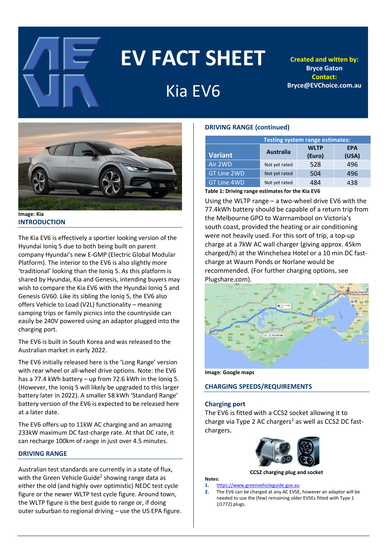

# **EV FACT SHEET**

# Kia EV6

**Created and witten by: Bryce Gaton Contact: Bryce@EVChoice.com.au**



**Image: Kia INTRODUCTION**

The Kia EV6 is effectively a sportier looking version of the Hyundai Ioniq 5 due to both being built on parent company Hyundai's new E-GMP (Electric Global Modular Platform). The interior to the EV6 is also slightly more 'traditional' looking than the Ioniq 5. As this platform is shared by Hyundai, Kia and Genesis, intending buyers may wish to compare the Kia EV6 with the Hyundai Ioniq 5 and Genesis GV60. Like its sibling the Ioniq 5, the EV6 also offers Vehicle to Load (V2L) functionality – meaning camping trips or family picnics into the countryside can easily be 240V powered using an adaptor plugged into the charging port.

The EV6 is built in South Korea and was released to the Australian market in early 2022.

The EV6 initially released here is the 'Long Range' version with rear wheel or all-wheel drive options. Note: the EV6 has a 77.4 kWh battery – up from 72.6 kWh in the Ioniq 5. (However, the Ioniq 5 will likely be upgraded to this larger battery later in 2022). A smaller 58 kWh 'Standard Range' battery version of the EV6 is expected to be released here at a later date.

The EV6 offers up to 11kW AC charging and an amazing 233kW maximum DC fast-charge rate. At that DC rate, it can recharge 100km of range in just over 4.5 minutes.

# **DRIVING RANGE**

Australian test standards are currently in a state of flux, with the Green Vehicle Guide<sup>2</sup> showing range data as either the old (and highly over optimistic) NEDC test cycle figure or the newer WLTP test cycle figure. Around town, the WLTP figure is the best guide to range or, if doing outer suburban to regional driving – use the US EPA figure.

# **DRIVING RANGE (continued)**

| <b>Testing system range estimates:</b> |                  |                       |                     |  |  |
|----------------------------------------|------------------|-----------------------|---------------------|--|--|
| <b>Variant</b>                         | <b>Australia</b> | <b>WLTP</b><br>(Euro) | <b>EPA</b><br>(USA) |  |  |
| Air 2WD                                | Not yet rated    | 528                   | 496                 |  |  |
| <b>GT Line 2WD</b>                     | Not yet rated    | 504                   | 496                 |  |  |
| <b>GT Line 4WD</b>                     | Not yet rated    | 484                   | 438                 |  |  |

**Table 1: Driving range estimates for the Kia EV6**

Using the WLTP range – a two-wheel drive EV6 with the 77.4kWh battery should be capable of a return trip from the Melbourne GPO to Warrnambool on Victoria's south coast, provided the heating or air conditioning were not heavily used. For this sort of trip, a top-up charge at a 7kW AC wall charger (giving approx. 45km charged/h) at the Winchelsea Hotel or a 10 min DC fastcharge at Waurn Ponds or Norlane would be recommended. (For further charging options, see Plugshare.com).





# **CHARGING SPEEDS/REQUIREMENTS**

# **Charging port**

The EV6 is fitted with a CCS2 socket allowing it to charge via Type 2 AC chargers<sup>2</sup> as well as CCS2 DC fastchargers.



**CCS2 charging plug and socket**

#### **Notes: 1.** [https://www.greenvehicleguide.gov.au](https://www.greenvehicleguide.gov.au/)

**2.** The EV6 can be charged at any AC EVSE, however an adaptor will be needed to use the (few) remaining older EVSEs fitted with Type 1 (J1772) plugs.